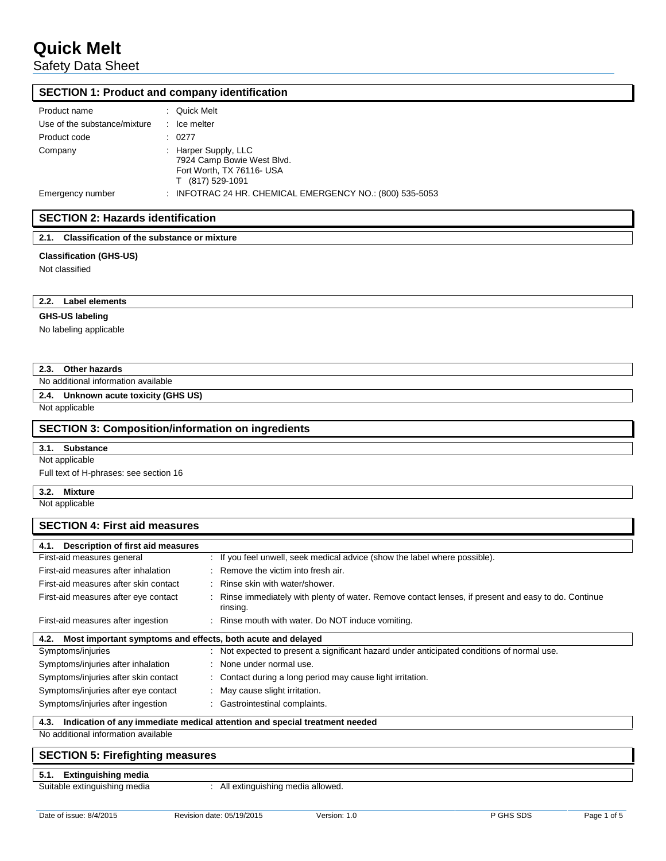Safety Data Sheet

#### **SECTION 1: Product and company identification**

| Product name                 | : Quick Melt                                                                                        |
|------------------------------|-----------------------------------------------------------------------------------------------------|
| Use of the substance/mixture | $\therefore$ Ice melter                                                                             |
| Product code                 | : 0277                                                                                              |
| Company                      | : Harper Supply, LLC<br>7924 Camp Bowie West Blvd.<br>Fort Worth, TX 76116- USA<br>T (817) 529-1091 |
| Emergency number             | : INFOTRAC 24 HR. CHEMICAL EMERGENCY NO.: $(800)$ 535-5053                                          |

## **SECTION 2: Hazards identification**

**2.1. Classification of the substance or mixture**

#### **Classification (GHS-US)**

Not classified

**2.2. Label elements**

#### **GHS-US labeling**

No labeling applicable

### **2.3. Other hazards**

No additional information available

#### **2.4. Unknown acute toxicity (GHS US)**

Not applicable

#### **SECTION 3: Composition/information on ingredients**

#### **3.1. Substance**

Not applicable

Full text of H-phrases: see section 16

**3.2. Mixture**

Not applicable

## **SECTION 4: First aid measures 4.1. Description of first aid measures** First-aid measures general : If you feel unwell, seek medical advice (show the label where possible). First-aid measures after inhalation : Remove the victim into fresh air. First-aid measures after skin contact : Rinse skin with water/shower. First-aid measures after eye contact : Rinse immediately with plenty of water. Remove contact lenses, if present and easy to do. Continue rinsing. First-aid measures after ingestion : Rinse mouth with water. Do NOT induce vomiting. **4.2. Most important symptoms and effects, both acute and delayed** Symptoms/injuries **interpretent in the symptoms** in Not expected to present a significant hazard under anticipated conditions of normal use. Symptoms/injuries after inhalation : None under normal use. Symptoms/injuries after skin contact : Contact during a long period may cause light irritation. Symptoms/injuries after eye contact : May cause slight irritation. Symptoms/injuries after ingestion : Gastrointestinal complaints. **4.3. Indication of any immediate medical attention and special treatment needed** No additional information available

#### **SECTION 5: Firefighting measures**

#### **5.1. Extinguishing media**

Suitable extinguishing media : All extinguishing media allowed.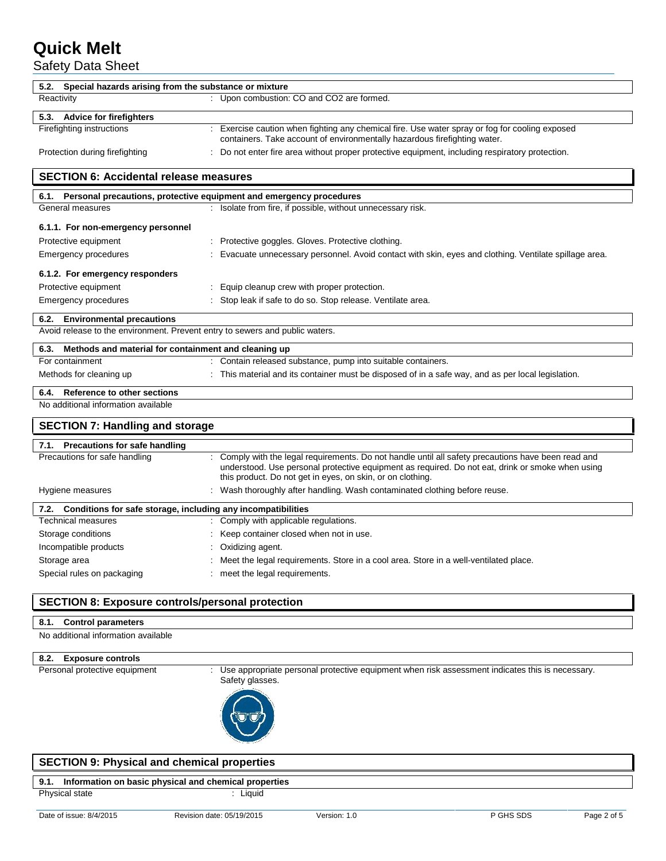Safety Data Sheet

| 5.2. Special hazards arising from the substance or mixture                   |                                                                                                                                                                                                                                                                     |  |  |  |  |  |
|------------------------------------------------------------------------------|---------------------------------------------------------------------------------------------------------------------------------------------------------------------------------------------------------------------------------------------------------------------|--|--|--|--|--|
| Reactivity                                                                   | : Upon combustion: CO and CO2 are formed.                                                                                                                                                                                                                           |  |  |  |  |  |
| 5.3. Advice for firefighters                                                 |                                                                                                                                                                                                                                                                     |  |  |  |  |  |
| Firefighting instructions                                                    | : Exercise caution when fighting any chemical fire. Use water spray or fog for cooling exposed<br>containers. Take account of environmentally hazardous firefighting water.                                                                                         |  |  |  |  |  |
| Protection during firefighting                                               | : Do not enter fire area without proper protective equipment, including respiratory protection.                                                                                                                                                                     |  |  |  |  |  |
| <b>SECTION 6: Accidental release measures</b>                                |                                                                                                                                                                                                                                                                     |  |  |  |  |  |
| 6.1. Personal precautions, protective equipment and emergency procedures     |                                                                                                                                                                                                                                                                     |  |  |  |  |  |
| General measures                                                             | : Isolate from fire, if possible, without unnecessary risk.                                                                                                                                                                                                         |  |  |  |  |  |
| 6.1.1. For non-emergency personnel                                           |                                                                                                                                                                                                                                                                     |  |  |  |  |  |
| Protective equipment                                                         | : Protective goggles. Gloves. Protective clothing.                                                                                                                                                                                                                  |  |  |  |  |  |
| Emergency procedures                                                         | Evacuate unnecessary personnel. Avoid contact with skin, eyes and clothing. Ventilate spillage area.                                                                                                                                                                |  |  |  |  |  |
| 6.1.2. For emergency responders                                              |                                                                                                                                                                                                                                                                     |  |  |  |  |  |
| Protective equipment                                                         | : Equip cleanup crew with proper protection.                                                                                                                                                                                                                        |  |  |  |  |  |
| Emergency procedures                                                         | : Stop leak if safe to do so. Stop release. Ventilate area.                                                                                                                                                                                                         |  |  |  |  |  |
| 6.2. Environmental precautions                                               |                                                                                                                                                                                                                                                                     |  |  |  |  |  |
| Avoid release to the environment. Prevent entry to sewers and public waters. |                                                                                                                                                                                                                                                                     |  |  |  |  |  |
| Methods and material for containment and cleaning up<br>6.3.                 |                                                                                                                                                                                                                                                                     |  |  |  |  |  |
| For containment                                                              | Contain released substance, pump into suitable containers.                                                                                                                                                                                                          |  |  |  |  |  |
| Methods for cleaning up                                                      | : This material and its container must be disposed of in a safe way, and as per local legislation.                                                                                                                                                                  |  |  |  |  |  |
| Reference to other sections<br>6.4.                                          |                                                                                                                                                                                                                                                                     |  |  |  |  |  |
| No additional information available                                          |                                                                                                                                                                                                                                                                     |  |  |  |  |  |
| <b>SECTION 7: Handling and storage</b>                                       |                                                                                                                                                                                                                                                                     |  |  |  |  |  |
| 7.1. Precautions for safe handling                                           |                                                                                                                                                                                                                                                                     |  |  |  |  |  |
| Precautions for safe handling                                                | Comply with the legal requirements. Do not handle until all safety precautions have been read and<br>understood. Use personal protective equipment as required. Do not eat, drink or smoke when using<br>this product. Do not get in eyes, on skin, or on clothing. |  |  |  |  |  |
| Hygiene measures                                                             | : Wash thoroughly after handling. Wash contaminated clothing before reuse.                                                                                                                                                                                          |  |  |  |  |  |
| 7.2. Conditions for safe storage, including any incompatibilities            |                                                                                                                                                                                                                                                                     |  |  |  |  |  |
| Technical measures                                                           | : Comply with applicable regulations.                                                                                                                                                                                                                               |  |  |  |  |  |
| Storage conditions                                                           | : Keep container closed when not in use.                                                                                                                                                                                                                            |  |  |  |  |  |
| Incompatible products                                                        | : Oxidizing agent.                                                                                                                                                                                                                                                  |  |  |  |  |  |
| Storage area                                                                 | Meet the legal requirements. Store in a cool area. Store in a well-ventilated place.                                                                                                                                                                                |  |  |  |  |  |
| Special rules on packaging                                                   | : meet the legal requirements.                                                                                                                                                                                                                                      |  |  |  |  |  |
|                                                                              |                                                                                                                                                                                                                                                                     |  |  |  |  |  |

## **SECTION 8: Exposure controls/personal protection**

### **8.1. Control parameters**

No additional information available

# **8.2. Exposure controls**

: Use appropriate personal protective equipment when risk assessment indicates this is necessary. Safety glasses.



## **SECTION 9: Physical and chemical properties**

# **9.1. Information on basic physical and chemical properties**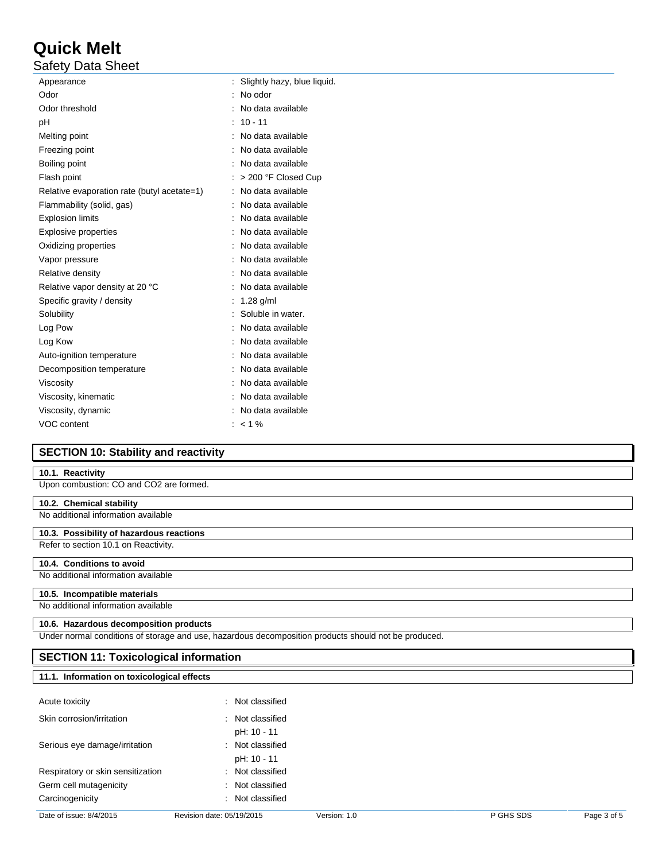Safety Data Sheet

| Appearance                                  | Slightly hazy, blue liquid. |
|---------------------------------------------|-----------------------------|
| Odor                                        | No odor                     |
| Odor threshold                              | No data available           |
| рH                                          | $10 - 11$                   |
| Melting point                               | No data available           |
| Freezing point                              | No data available           |
| Boiling point                               | No data available           |
| Flash point                                 | > 200 °F Closed Cup         |
| Relative evaporation rate (butyl acetate=1) | No data available           |
| Flammability (solid, gas)                   | No data available           |
| <b>Explosion limits</b>                     | No data available           |
| <b>Explosive properties</b>                 | No data available           |
| Oxidizing properties                        | No data available           |
| Vapor pressure                              | No data available           |
| Relative density                            | No data available           |
| Relative vapor density at 20 °C             | No data available           |
| Specific gravity / density                  | $1.28$ g/ml                 |
| Solubility                                  | Soluble in water.           |
| Log Pow                                     | No data available           |
| Log Kow                                     | No data available           |
| Auto-ignition temperature                   | No data available           |
| Decomposition temperature                   | No data available           |
| Viscosity                                   | No data available           |
| Viscosity, kinematic                        | No data available           |
| Viscosity, dynamic                          | No data available           |
| VOC content                                 | $:$ < 1 %                   |

# **SECTION 10: Stability and reactivity**

## **10.1. Reactivity**

Upon combustion: CO and CO2 are formed.

## **10.2. Chemical stability**

# No additional information available

## **10.3. Possibility of hazardous reactions**

Refer to section 10.1 on Reactivity.

## **10.4. Conditions to avoid**

No additional information available

## **10.5. Incompatible materials**

## No additional information available

## **10.6. Hazardous decomposition products**

**11.1. Information on toxicological effects**

Under normal conditions of storage and use, hazardous decomposition products should not be produced.

# **SECTION 11: Toxicological information**

| Acute toxicity                    | Not classified<br>٠.        |
|-----------------------------------|-----------------------------|
| Skin corrosion/irritation         | Not classified<br>٠.        |
|                                   | pH: 10 - 11                 |
| Serious eye damage/irritation     | : Not classified            |
|                                   | pH: 10 - 11                 |
| Respiratory or skin sensitization | $\therefore$ Not classified |
| Germ cell mutagenicity            | $\therefore$ Not classified |
| Carcinogenicity                   | $\therefore$ Not classified |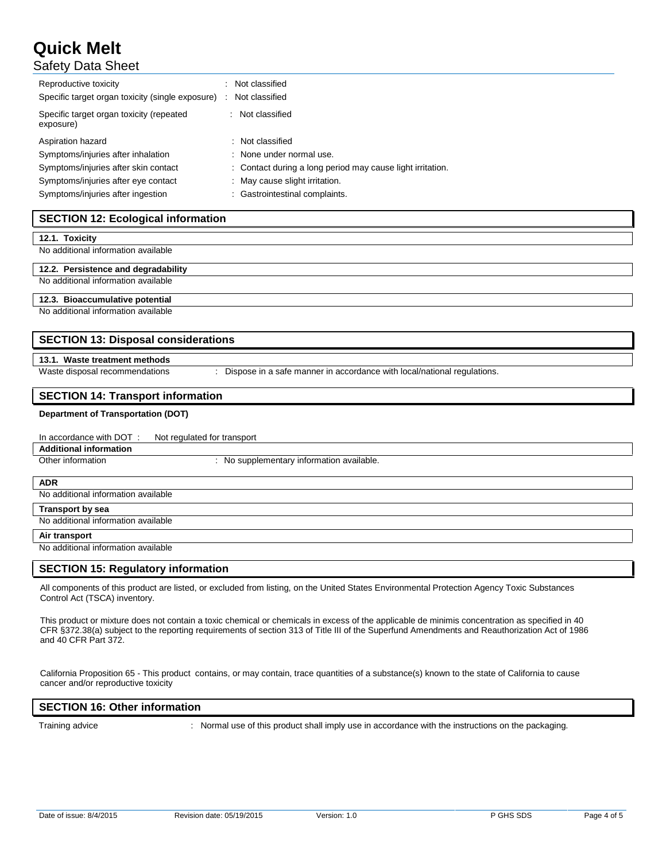# Safety Data Sheet

| Reproductive toxicity<br>Specific target organ toxicity (single exposure) | Not classified<br>Not classified                           |
|---------------------------------------------------------------------------|------------------------------------------------------------|
| Specific target organ toxicity (repeated<br>exposure)                     | Not classified                                             |
| Aspiration hazard                                                         | : Not classified                                           |
| Symptoms/injuries after inhalation                                        | : None under normal use.                                   |
| Symptoms/injuries after skin contact                                      | : Contact during a long period may cause light irritation. |
| Symptoms/injuries after eye contact                                       | : May cause slight irritation.                             |
| Symptoms/injuries after ingestion                                         | : Gastrointestinal complaints.                             |

## **SECTION 12: Ecological information**

#### **12.1. Toxicity**

No additional information available

#### **12.2. Persistence and degradability**

# No additional information available **12.3. Bioaccumulative potential**

No additional information available

### **SECTION 13: Disposal considerations**

## **13.1. Waste treatment methods**

Waste disposal recommendations : Dispose in a safe manner in accordance with local/national regulations.

### **SECTION 14: Transport information**

#### **Department of Transportation (DOT)**

## In accordance with DOT : Not regulated for transport

**Additional information**

: No supplementary information available.

**ADR**

No additional information available

### **Transport by sea**

No additional information available

#### **Air transport**

No additional information available

#### **SECTION 15: Regulatory information**

All components of this product are listed, or excluded from listing, on the United States Environmental Protection Agency Toxic Substances Control Act (TSCA) inventory.

This product or mixture does not contain a toxic chemical or chemicals in excess of the applicable de minimis concentration as specified in 40 CFR §372.38(a) subject to the reporting requirements of section 313 of Title III of the Superfund Amendments and Reauthorization Act of 1986 and 40 CFR Part 372.

California Proposition 65 - This product contains, or may contain, trace quantities of a substance(s) known to the state of California to cause cancer and/or reproductive toxicity

#### **SECTION 16: Other information**

Training advice : Normal use of this product shall imply use in accordance with the instructions on the packaging.